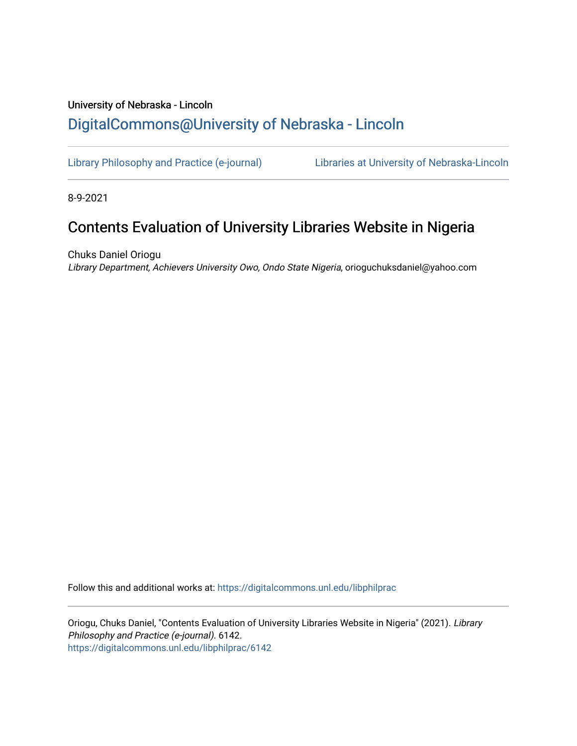## University of Nebraska - Lincoln [DigitalCommons@University of Nebraska - Lincoln](https://digitalcommons.unl.edu/)

[Library Philosophy and Practice \(e-journal\)](https://digitalcommons.unl.edu/libphilprac) [Libraries at University of Nebraska-Lincoln](https://digitalcommons.unl.edu/libraries) 

8-9-2021

# Contents Evaluation of University Libraries Website in Nigeria

Chuks Daniel Oriogu Library Department, Achievers University Owo, Ondo State Nigeria, orioguchuksdaniel@yahoo.com

Follow this and additional works at: [https://digitalcommons.unl.edu/libphilprac](https://digitalcommons.unl.edu/libphilprac?utm_source=digitalcommons.unl.edu%2Flibphilprac%2F6142&utm_medium=PDF&utm_campaign=PDFCoverPages) 

Oriogu, Chuks Daniel, "Contents Evaluation of University Libraries Website in Nigeria" (2021). Library Philosophy and Practice (e-journal). 6142. [https://digitalcommons.unl.edu/libphilprac/6142](https://digitalcommons.unl.edu/libphilprac/6142?utm_source=digitalcommons.unl.edu%2Flibphilprac%2F6142&utm_medium=PDF&utm_campaign=PDFCoverPages)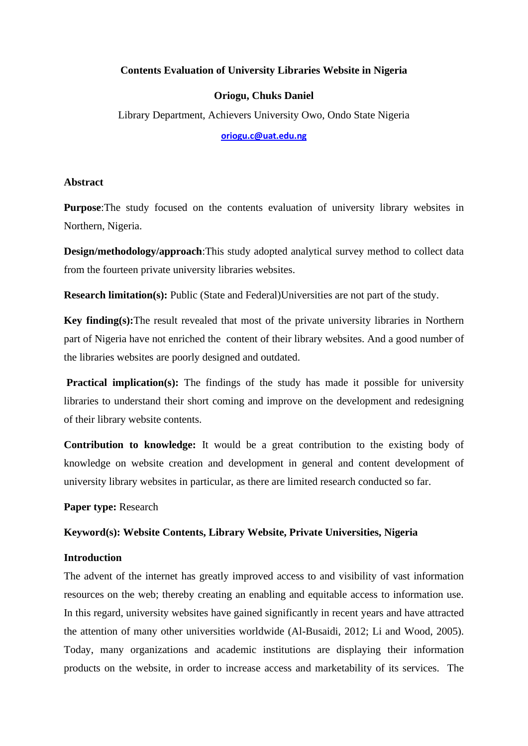## **Contents Evaluation of University Libraries Website in Nigeria**

## **Oriogu, Chuks Daniel**

Library Department, Achievers University Owo, Ondo State Nigeria

**[oriogu.c@uat.edu.ng](mailto:oriogu.c@uat.edu.ng)**

### **Abstract**

**Purpose**:The study focused on the contents evaluation of university library websites in Northern, Nigeria.

**Design/methodology/approach**:This study adopted analytical survey method to collect data from the fourteen private university libraries websites.

**Research limitation(s):** Public (State and Federal)Universities are not part of the study.

**Key finding(s):**The result revealed that most of the private university libraries in Northern part of Nigeria have not enriched the content of their library websites. And a good number of the libraries websites are poorly designed and outdated.

**Practical implication(s):** The findings of the study has made it possible for university libraries to understand their short coming and improve on the development and redesigning of their library website contents.

**Contribution to knowledge:** It would be a great contribution to the existing body of knowledge on website creation and development in general and content development of university library websites in particular, as there are limited research conducted so far.

**Paper type:** Research

## **Keyword(s): Website Contents, Library Website, Private Universities, Nigeria**

## **Introduction**

The advent of the internet has greatly improved access to and visibility of vast information resources on the web; thereby creating an enabling and equitable access to information use. In this regard, university websites have gained significantly in recent years and have attracted the attention of many other universities worldwide (Al-Busaidi, 2012; Li and Wood, 2005). Today, many organizations and academic institutions are displaying their information products on the website, in order to increase access and marketability of its services. The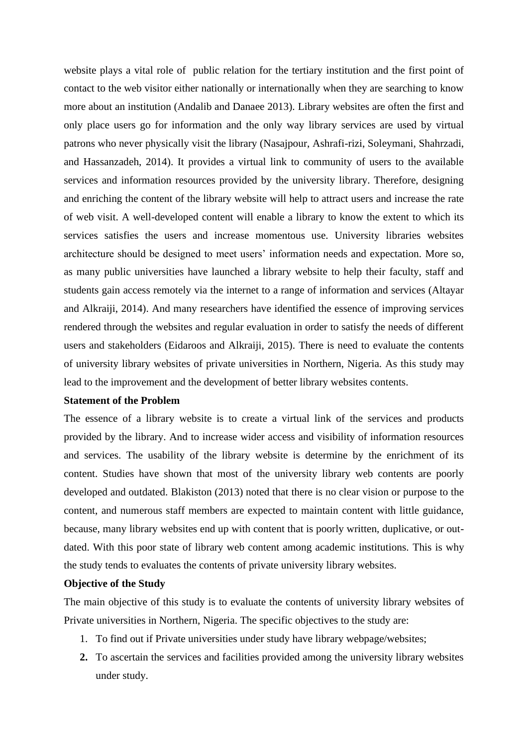website plays a vital role of public relation for the tertiary institution and the first point of contact to the web visitor either nationally or internationally when they are searching to know more about an institution (Andalib and Danaee 2013). Library websites are often the first and only place users go for information and the only way library services are used by virtual patrons who never physically visit the library (Nasajpour, Ashrafi-rizi, Soleymani, Shahrzadi, and Hassanzadeh, 2014). It provides a virtual link to community of users to the available services and information resources provided by the university library. Therefore, designing and enriching the content of the library website will help to attract users and increase the rate of web visit. A well-developed content will enable a library to know the extent to which its services satisfies the users and increase momentous use. University libraries websites architecture should be designed to meet users' information needs and expectation. More so, as many public universities have launched a library website to help their faculty, staff and students gain access remotely via the internet to a range of information and services (Altayar and Alkraiji, 2014). And many researchers have identified the essence of improving services rendered through the websites and regular evaluation in order to satisfy the needs of different users and stakeholders (Eidaroos and Alkraiji, 2015). There is need to evaluate the contents of university library websites of private universities in Northern, Nigeria. As this study may lead to the improvement and the development of better library websites contents.

#### **Statement of the Problem**

The essence of a library website is to create a virtual link of the services and products provided by the library. And to increase wider access and visibility of information resources and services. The usability of the library website is determine by the enrichment of its content. Studies have shown that most of the university library web contents are poorly developed and outdated. Blakiston (2013) noted that there is no clear vision or purpose to the content, and numerous staff members are expected to maintain content with little guidance, because, many library websites end up with content that is poorly written, duplicative, or outdated. With this poor state of library web content among academic institutions. This is why the study tends to evaluates the contents of private university library websites.

### **Objective of the Study**

The main objective of this study is to evaluate the contents of university library websites of Private universities in Northern, Nigeria. The specific objectives to the study are:

- 1. To find out if Private universities under study have library webpage/websites;
- **2.** To ascertain the services and facilities provided among the university library websites under study.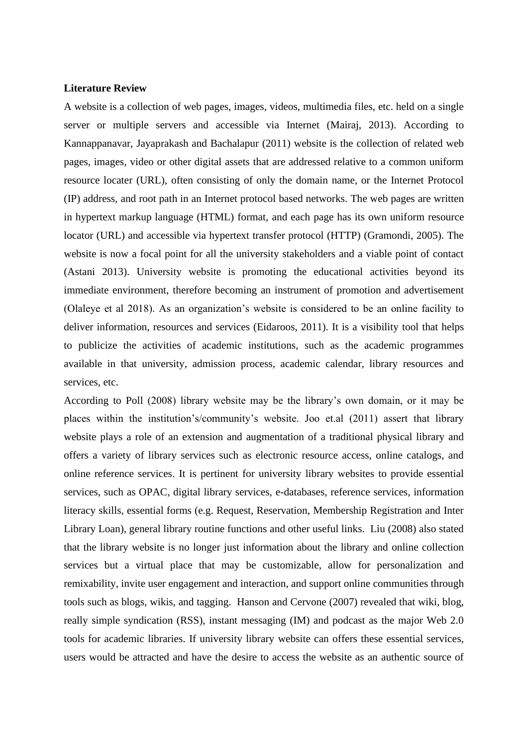#### **Literature Review**

A website is a collection of web pages, images, videos, multimedia files, etc. held on a single server or multiple servers and accessible via Internet (Mairaj, 2013). According to Kannappanavar, Jayaprakash and Bachalapur (2011) website is the collection of related web pages, images, video or other digital assets that are addressed relative to a common uniform resource locater (URL), often consisting of only the domain name, or the Internet Protocol (IP) address, and root path in an Internet protocol based networks. The web pages are written in hypertext markup language (HTML) format, and each page has its own uniform resource locator (URL) and accessible via hypertext transfer protocol (HTTP) (Gramondi, 2005). The website is now a focal point for all the university stakeholders and a viable point of contact (Astani 2013). University website is promoting the educational activities beyond its immediate environment, therefore becoming an instrument of promotion and advertisement (Olaleye et al 2018). As an organization's website is considered to be an online facility to deliver information, resources and services (Eidaroos, 2011). It is a visibility tool that helps to publicize the activities of academic institutions, such as the academic programmes available in that university, admission process, academic calendar, library resources and services, etc.

According to Poll (2008) library website may be the library's own domain, or it may be places within the institution's/community's website. Joo et.al (2011) assert that library website plays a role of an extension and augmentation of a traditional physical library and offers a variety of library services such as electronic resource access, online catalogs, and online reference services. It is pertinent for university library websites to provide essential services, such as OPAC, digital library services, e-databases, reference services, information literacy skills, essential forms (e.g. Request, Reservation, Membership Registration and Inter Library Loan), general library routine functions and other useful links. Liu (2008) also stated that the library website is no longer just information about the library and online collection services but a virtual place that may be customizable, allow for personalization and remixability, invite user engagement and interaction, and support online communities through tools such as blogs, wikis, and tagging. Hanson and Cervone (2007) revealed that wiki, blog, really simple syndication (RSS), instant messaging (IM) and podcast as the major Web 2.0 tools for academic libraries. If university library website can offers these essential services, users would be attracted and have the desire to access the website as an authentic source of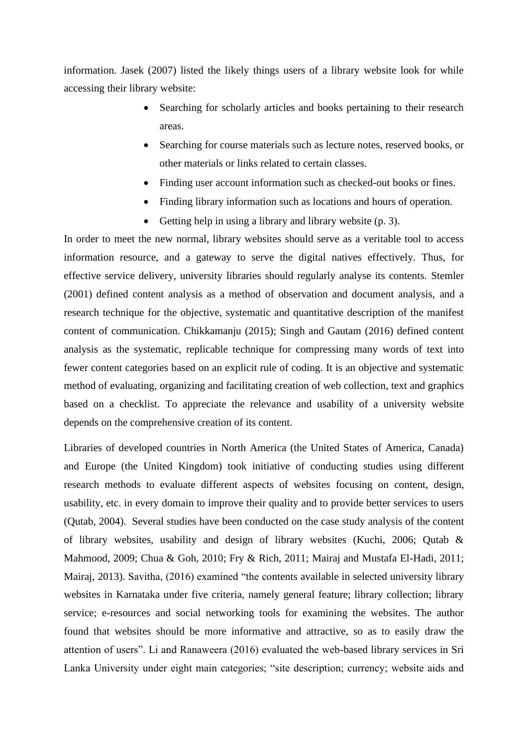information. Jasek (2007) listed the likely things users of a library website look for while accessing their library website:

- Searching for scholarly articles and books pertaining to their research areas.
- Searching for course materials such as lecture notes, reserved books, or other materials or links related to certain classes.
- Finding user account information such as checked-out books or fines.
- Finding library information such as locations and hours of operation.
- Getting help in using a library and library website (p. 3).

In order to meet the new normal, library websites should serve as a veritable tool to access information resource, and a gateway to serve the digital natives effectively. Thus, for effective service delivery, university libraries should regularly analyse its contents. Stemler (2001) defined content analysis as a method of observation and document analysis, and a research technique for the objective, systematic and quantitative description of the manifest content of communication. Chikkamanju (2015); Singh and Gautam (2016) defined content analysis as the systematic, replicable technique for compressing many words of text into fewer content categories based on an explicit rule of coding. It is an objective and systematic method of evaluating, organizing and facilitating creation of web collection, text and graphics based on a checklist. To appreciate the relevance and usability of a university website depends on the comprehensive creation of its content.

Libraries of developed countries in North America (the United States of America, Canada) and Europe (the United Kingdom) took initiative of conducting studies using different research methods to evaluate different aspects of websites focusing on content, design, usability, etc. in every domain to improve their quality and to provide better services to users (Qutab, 2004). Several studies have been conducted on the case study analysis of the content of library websites, usability and design of library websites (Kuchi, 2006; Qutab & Mahmood, 2009; Chua & Goh, 2010; Fry & Rich, 2011; Mairaj and Mustafa El-Hadi, 2011; Mairaj, 2013). Savitha, (2016) examined "the contents available in selected university library websites in Karnataka under five criteria, namely general feature; library collection; library service; e-resources and social networking tools for examining the websites. The author found that websites should be more informative and attractive, so as to easily draw the attention of users". Li and Ranaweera (2016) evaluated the web-based library services in Sri Lanka University under eight main categories; "site description; currency; website aids and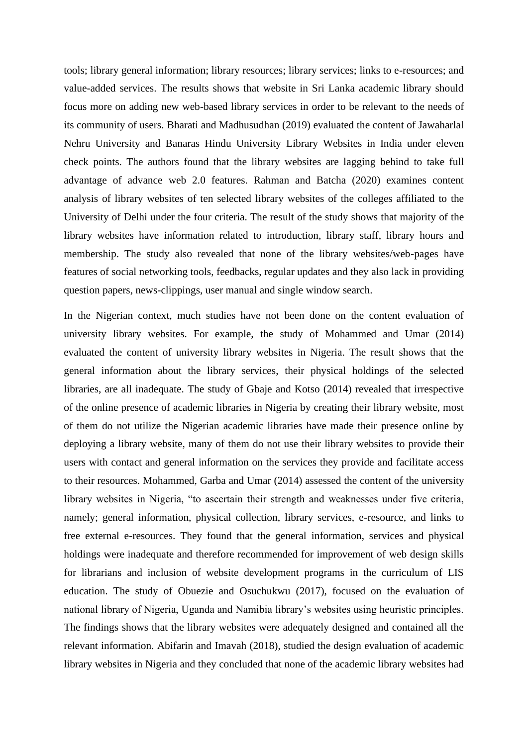tools; library general information; library resources; library services; links to e-resources; and value-added services. The results shows that website in Sri Lanka academic library should focus more on adding new web-based library services in order to be relevant to the needs of its community of users. Bharati and Madhusudhan (2019) evaluated the content of Jawaharlal Nehru University and Banaras Hindu University Library Websites in India under eleven check points. The authors found that the library websites are lagging behind to take full advantage of advance web 2.0 features. Rahman and Batcha (2020) examines content analysis of library websites of ten selected library websites of the colleges affiliated to the University of Delhi under the four criteria. The result of the study shows that majority of the library websites have information related to introduction, library staff, library hours and membership. The study also revealed that none of the library websites/web-pages have features of social networking tools, feedbacks, regular updates and they also lack in providing question papers, news-clippings, user manual and single window search.

In the Nigerian context, much studies have not been done on the content evaluation of university library websites. For example, the study of Mohammed and Umar (2014) evaluated the content of university library websites in Nigeria. The result shows that the general information about the library services, their physical holdings of the selected libraries, are all inadequate. The study of Gbaje and Kotso (2014) revealed that irrespective of the online presence of academic libraries in Nigeria by creating their library website, most of them do not utilize the Nigerian academic libraries have made their presence online by deploying a library website, many of them do not use their library websites to provide their users with contact and general information on the services they provide and facilitate access to their resources. Mohammed, Garba and Umar (2014) assessed the content of the university library websites in Nigeria, "to ascertain their strength and weaknesses under five criteria, namely; general information, physical collection, library services, e-resource, and links to free external e-resources. They found that the general information, services and physical holdings were inadequate and therefore recommended for improvement of web design skills for librarians and inclusion of website development programs in the curriculum of LIS education. The study of Obuezie and Osuchukwu (2017), focused on the evaluation of national library of Nigeria, Uganda and Namibia library's websites using heuristic principles. The findings shows that the library websites were adequately designed and contained all the relevant information. Abifarin and Imavah (2018), studied the design evaluation of academic library websites in Nigeria and they concluded that none of the academic library websites had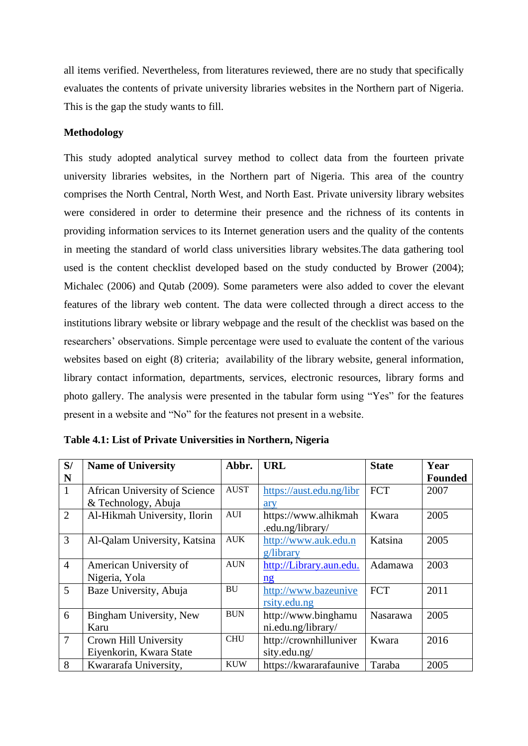all items verified. Nevertheless, from literatures reviewed, there are no study that specifically evaluates the contents of private university libraries websites in the Northern part of Nigeria. This is the gap the study wants to fill.

### **Methodology**

This study adopted analytical survey method to collect data from the fourteen private university libraries websites, in the Northern part of Nigeria. This area of the country comprises the North Central, North West, and North East. Private university library websites were considered in order to determine their presence and the richness of its contents in providing information services to its Internet generation users and the quality of the contents in meeting the standard of world class universities library websites.The data gathering tool used is the content checklist developed based on the study conducted by Brower (2004); Michalec (2006) and Qutab (2009). Some parameters were also added to cover the elevant features of the library web content. The data were collected through a direct access to the institutions library website or library webpage and the result of the checklist was based on the researchers' observations. Simple percentage were used to evaluate the content of the various websites based on eight (8) criteria; availability of the library website, general information, library contact information, departments, services, electronic resources, library forms and photo gallery. The analysis were presented in the tabular form using "Yes" for the features present in a website and "No" for the features not present in a website.

| S/             | <b>Name of University</b>     | Abbr.       | <b>URL</b>               | <b>State</b> | Year           |
|----------------|-------------------------------|-------------|--------------------------|--------------|----------------|
| N              |                               |             |                          |              | <b>Founded</b> |
| $^{\prime}$ 1  | African University of Science | <b>AUST</b> | https://aust.edu.ng/libr | <b>FCT</b>   | 2007           |
|                | & Technology, Abuja           |             | ary                      |              |                |
| $\overline{2}$ | Al-Hikmah University, Ilorin  | <b>AUI</b>  | https://www.alhikmah     | Kwara        | 2005           |
|                |                               |             | .edu.ng/library/         |              |                |
| 3              | Al-Qalam University, Katsina  | <b>AUK</b>  | http://www.auk.edu.n     | Katsina      | 2005           |
|                |                               |             | $gl$ ibrary              |              |                |
| $\overline{4}$ | American University of        | <b>AUN</b>  | http://Library.aun.edu.  | Adamawa      | 2003           |
|                | Nigeria, Yola                 |             | $\frac{ng}{g}$           |              |                |
| 5              | Baze University, Abuja        | <b>BU</b>   | http://www.bazeunive     | <b>FCT</b>   | 2011           |
|                |                               |             | rsity.edu.ng             |              |                |
| 6              | Bingham University, New       | <b>BUN</b>  | http://www.binghamu      | Nasarawa     | 2005           |
|                | Karu                          |             | ni.edu.ng/library/       |              |                |
| $\overline{7}$ | Crown Hill University         | <b>CHU</b>  | http://crownhilluniver   | Kwara        | 2016           |
|                | Eiyenkorin, Kwara State       |             | sity.edu.ng/             |              |                |
| 8              | Kwararafa University,         | <b>KUW</b>  | https://kwararafaunive   | Taraba       | 2005           |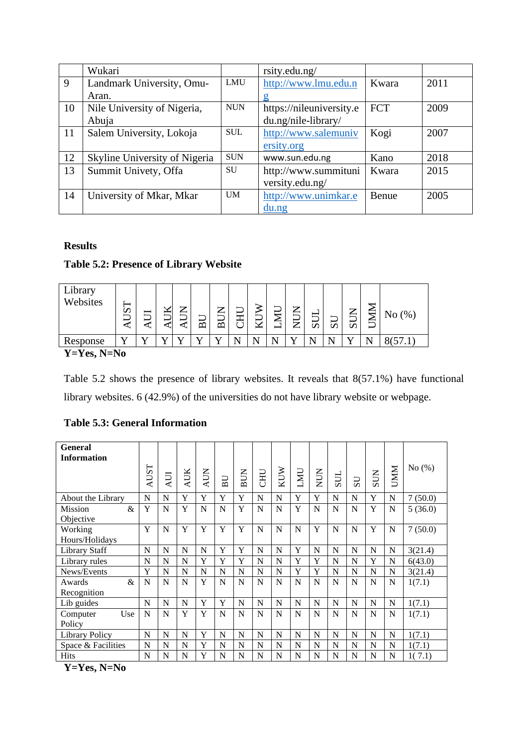|    | Wukari                        |            | rsity.edu.ng/            |            |      |
|----|-------------------------------|------------|--------------------------|------------|------|
| 9  | Landmark University, Omu-     | LMU        | http://www.lmu.edu.n     | Kwara      | 2011 |
|    | Aran.                         |            |                          |            |      |
| 10 | Nile University of Nigeria,   | <b>NUN</b> | https://nileuniversity.e | <b>FCT</b> | 2009 |
|    | Abuja                         |            | du.ng/nile-library/      |            |      |
| 11 | Salem University, Lokoja      | <b>SUL</b> | http://www.salemuniv     | Kogi       | 2007 |
|    |                               |            | ersity.org               |            |      |
| 12 | Skyline University of Nigeria | <b>SUN</b> | www.sun.edu.ng           | Kano       | 2018 |
| 13 | Summit Univety, Offa          | <b>SU</b>  | http://www.summituni     | Kwara      | 2015 |
|    |                               |            | versity.edu.ng/          |            |      |
| 14 | University of Mkar, Mkar      | <b>UM</b>  | http://www.unimkar.e     | Benue      | 2005 |
|    |                               |            | $du$ .ng                 |            |      |

## **Results**

## **Table 5.2: Presence of Library Website**

| Library<br>Websites                       | S<br>⊢ | −<br>∽ | –   | ⇁<br>ー | −<br>⋒ | ⇁<br>_<br>⋒ | ⊢<br>∽<br>ىس<br>∽ | ਡ<br>⊢ | IJ<br>Ą<br>– | ⇁<br>⊨<br>⇁ | ⊢<br>Ω | ⊢<br>$\boldsymbol{\mathsf{c}}$ | ⇁<br>–<br>–<br>$\boldsymbol{\mathcal{D}}$ | $\leq$<br>$\overline{\phantom{0}}$ | (% , )<br>N <sub>o</sub> |
|-------------------------------------------|--------|--------|-----|--------|--------|-------------|-------------------|--------|--------------|-------------|--------|--------------------------------|-------------------------------------------|------------------------------------|--------------------------|
| Response                                  |        |        | . 7 |        |        | <b>x</b> z  | N                 |        |              |             |        |                                |                                           |                                    |                          |
| $V_{\rm -}V_{\rm -}$ $N_{\rm -}V_{\rm -}$ |        |        |     |        |        |             |                   |        |              |             |        |                                |                                           |                                    |                          |

**Y=Yes, N=No**

Table 5.2 shows the presence of library websites. It reveals that 8(57.1%) have functional library websites. 6 (42.9%) of the universities do not have library website or webpage.

## **Table 5.3: General Information**

| <b>General</b><br><b>Information</b> | <b>AUST</b> | $\overline{A}$ UI | AUK | <b>AUN</b> | BU | <b>BUN</b> | <b>CHU</b> | KUW | LMU         | <b>NUN</b> | SUL | US | <b>SUN</b> | <b>UMM</b>  | No $(\%)$ |
|--------------------------------------|-------------|-------------------|-----|------------|----|------------|------------|-----|-------------|------------|-----|----|------------|-------------|-----------|
| About the Library                    | N           | N                 | Y   | Y          | Y  | Y          | N          | N   | Y           | Y          | N   | N  | Y          | N           | 7(50.0)   |
| <b>Mission</b><br>&<br>Objective     | Y           | N                 | Y   | N          | N  | Y          | N          | N   | Y           | N          | N   | N  | Y          | N           | 5(36.0)   |
| Working                              | Y           | N                 | Y   | Y          | Y  | Y          | N          | N   | $\mathbf N$ | Y          | N   | N  | Y          | N           | 7(50.0)   |
| Hours/Holidays                       |             |                   |     |            |    |            |            |     |             |            |     |    |            |             |           |
| <b>Library Staff</b>                 | N           | N                 | N   | N          | Y  | Y          | N          | N   | Y           | N          | N   | N  | N          | $\mathbf N$ | 3(21.4)   |
| Library rules                        | N           | N                 | N   | Y          | Y  | Y          | N          | N   | Y           | Y          | N   | N  | Y          | N           | 6(43.0)   |
| News/Events                          | Y           | N                 | N   | N          | N  | N          | N          | N   | Y           | Y          | N   | N  | N          | N           | 3(21.4)   |
| &<br>Awards<br>Recognition           | N           | N                 | N   | Y          | N  | N          | N          | N   | $\mathbf N$ | N          | N   | N  | N          | N           | 1(7.1)    |
| Lib guides                           | N           | N                 | N   | Y          | Y  | N          | N          | N   | N           | N          | N   | N  | N          | $\mathbf N$ | 1(7.1)    |
| Use<br>Computer<br>Policy            | N           | N                 | Y   | Y          | N  | N          | N          | N   | N           | N          | N   | N  | N          | N           | 1(7.1)    |
| Library Policy                       | $\mathbf N$ | N                 | N   | Y          | N  | N          | N          | N   | N           | N          | N   | N  | N          | N           | 1(7.1)    |
| Space & Facilities                   | N           | N                 | N   | Y          | N  | N          | N          | N   | N           | N          | N   | N  | N          | N           | 1(7.1)    |
| <b>Hits</b>                          | N           | N                 | N   | Y          | N  | N          | N          | N   | N           | N          | N   | N  | N          | N           | 1(7.1)    |

**Y=Yes, N=No**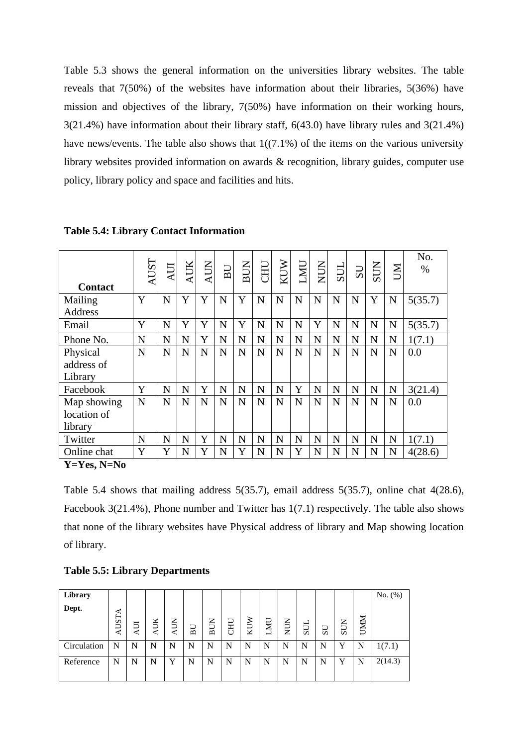Table 5.3 shows the general information on the universities library websites. The table reveals that 7(50%) of the websites have information about their libraries, 5(36%) have mission and objectives of the library, 7(50%) have information on their working hours, 3(21.4%) have information about their library staff, 6(43.0) have library rules and 3(21.4%) have news/events. The table also shows that  $1((7.1\%)$  of the items on the various university library websites provided information on awards & recognition, library guides, computer use policy, library policy and space and facilities and hits.

| <b>Contact</b> | <b>AUST</b> | AUI | <b>AUK</b> | <b>AUN</b> | BU | <b>BUN</b>  | UHU | KUW         | LMU | NUN | SUL | US          | <b>SUN</b>  | ZЮ          | No.<br>% |
|----------------|-------------|-----|------------|------------|----|-------------|-----|-------------|-----|-----|-----|-------------|-------------|-------------|----------|
| Mailing        | Y           | N   | Y          | Y          | N  | Y           | N   | N           | N   | N   | N   | $\mathbf N$ | Y           | $\mathbf N$ | 5(35.7)  |
| Address        |             |     |            |            |    |             |     |             |     |     |     |             |             |             |          |
| Email          | Y           | N   | Y          | Y          | N  | Y           | N   | $\mathbf N$ | N   | Y   | N   | $\mathbf N$ | $\mathbf N$ | $\mathbf N$ | 5(35.7)  |
| Phone No.      | N           | N   | N          | Y          | N  | N           | N   | N           | N   | N   | N   | N           | N           | N           | 1(7.1)   |
| Physical       | N           | N   | N          | N          | N  | N           | N   | $\mathbf N$ | N   | N   | N   | N           | N           | N           | 0.0      |
| address of     |             |     |            |            |    |             |     |             |     |     |     |             |             |             |          |
| Library        |             |     |            |            |    |             |     |             |     |     |     |             |             |             |          |
| Facebook       | Y           | N   | N          | Y          | N  | N           | N   | N           | Y   | N   | N   | N           | N           | $\mathbf N$ | 3(21.4)  |
| Map showing    | N           | N   | N          | N          | N  | N           | N   | N           | N   | N   | N   | N           | N           | N           | 0.0      |
| location of    |             |     |            |            |    |             |     |             |     |     |     |             |             |             |          |
| library        |             |     |            |            |    |             |     |             |     |     |     |             |             |             |          |
| Twitter        | N           | N   | N          | Y          | N  | $\mathbf N$ | N   | N           | N   | N   | N   | N           | N           | N           | 1(7.1)   |
| Online chat    | Y           | Y   | N          | Y          | N  | Y           | N   | N           | Y   | N   | N   | N           | N           | N           | 4(28.6)  |

**Table 5.4: Library Contact Information**

**Y=Yes, N=No**

Table 5.4 shows that mailing address 5(35.7), email address 5(35.7), online chat 4(28.6), Facebook 3(21.4%), Phone number and Twitter has 1(7.1) respectively. The table also shows that none of the library websites have Physical address of library and Map showing location of library.

| Library     |       |     |            |            |    |                              |     |    |           |            |     |             |              |            | No. $(\%)$ |
|-------------|-------|-----|------------|------------|----|------------------------------|-----|----|-----------|------------|-----|-------------|--------------|------------|------------|
| Dept.       |       |     |            |            |    |                              |     |    |           |            |     |             |              |            |            |
|             | AUSTA |     | <b>AUK</b> | <b>AUN</b> |    | $\mathsf{K}$                 | CHU | ⋗  | <b>UN</b> | <b>NUN</b> |     |             |              | <b>UMM</b> |            |
|             |       | AUI |            |            | BU | ┙<br>$\overline{\mathbf{r}}$ |     | ZГ | −         |            | SUI | $_{\rm SU}$ | <b>SUN</b>   |            |            |
| Circulation | N     | N   | N          | N          | N  | N                            | N   | N  | N         | N          | N   | N           | $\mathbf{v}$ | N          | 1(7.1)     |
| Reference   | N     | N   | N          | Y          | N  | N                            | N   | N  | N         | N          | N   | N           | $\mathbf{v}$ | N          | 2(14.3)    |
|             |       |     |            |            |    |                              |     |    |           |            |     |             |              |            |            |

## **Table 5.5: Library Departments**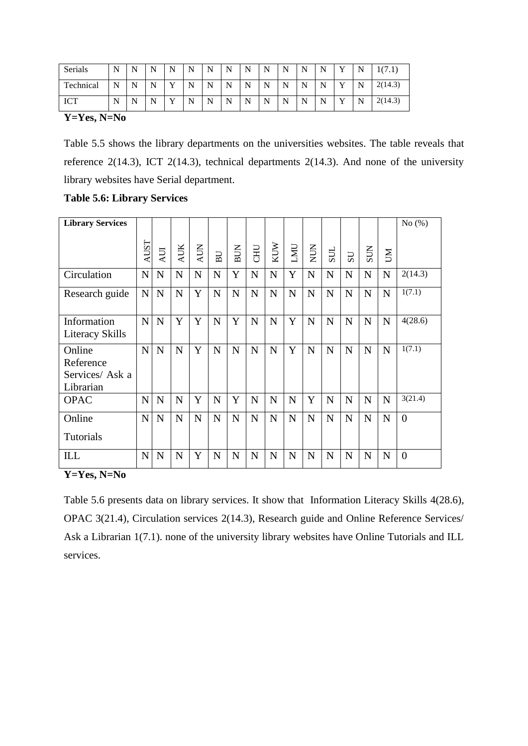| Serials    | N | N | N | N            | N | N | N | N | N | N<br>., | N<br>.,        | N | $\mathbf{v}$ | N | (7)<br>111.1 |
|------------|---|---|---|--------------|---|---|---|---|---|---------|----------------|---|--------------|---|--------------|
| Technical  | N | N | N | $\mathbf{v}$ | N | N | N | N | N | N<br>., | N<br><b>TA</b> | N | $\mathbf{v}$ | N | 2(14.3)      |
| <b>ICT</b> | N | N | N | $\mathbf{V}$ | N | N | N | N | N | N       | N<br><b>TA</b> | N | $\mathbf{v}$ | N | 2(14.3)      |

**Y=Yes, N=No**

Table 5.5 shows the library departments on the universities websites. The table reveals that reference  $2(14.3)$ , ICT  $2(14.3)$ , technical departments  $2(14.3)$ . And none of the university library websites have Serial department.

| <b>Library Services</b>                             |             |             |             |             |             |             |             |             |             |             |             |             |             |             | No $(\%)$ |
|-----------------------------------------------------|-------------|-------------|-------------|-------------|-------------|-------------|-------------|-------------|-------------|-------------|-------------|-------------|-------------|-------------|-----------|
|                                                     | <b>AUST</b> | <b>AUI</b>  | <b>AUK</b>  | <b>AUN</b>  | BU          | <b>BUN</b>  | <b>CHU</b>  | KUW         | LMU         | NUN         | SUL         | US          | <b>SUN</b>  | <b>NU</b>   |           |
| Circulation                                         | $\mathbf N$ | $\mathbf N$ | ${\bf N}$   | $\mathbf N$ | $\mathbf N$ | Y           | $\mathbf N$ | $\mathbf N$ | Y           | ${\bf N}$   | N           | $\mathbf N$ | $\mathbf N$ | $\mathbf N$ | 2(14.3)   |
| Research guide                                      | $\mathbf N$ | $\mathbf N$ | $\mathbf N$ | Y           | N           | $\mathbf N$ | N           | N           | $\mathbf N$ | $\mathbf N$ | $\mathbf N$ | ${\bf N}$   | $\mathbf N$ | N           | 1(7.1)    |
| Information<br>Literacy Skills                      | $\mathbf N$ | N           | Y           | Y           | $\mathbf N$ | Y           | $\mathbf N$ | N           | Y           | $\mathbf N$ | N           | $\mathbf N$ | $\mathbf N$ | $\mathbf N$ | 4(28.6)   |
| Online<br>Reference<br>Services/ Ask a<br>Librarian | N           | $\mathbf N$ | $\mathbf N$ | Y           | $\mathbf N$ | $\mathbf N$ | $\mathbf N$ | N           | Y           | $\mathbf N$ | N           | $\mathbf N$ | $\mathbf N$ | N           | 1(7.1)    |
| <b>OPAC</b>                                         | $\mathbf N$ | N           | $\mathbf N$ | Y           | $\mathbf N$ | Y           | N           | N           | $\mathbf N$ | Y           | N           | $\mathbf N$ | $\mathbf N$ | N           | 3(21.4)   |
| Online<br>Tutorials                                 | $\mathbf N$ | $\mathbf N$ | $\mathbf N$ | $\mathbf N$ | $\mathbf N$ | $\mathbf N$ | N           | $\mathbf N$ | $\mathbf N$ | $\mathbf N$ | N           | $\mathbf N$ | N           | N           | $\theta$  |
| ILL                                                 | $\mathbf N$ | $\mathbf N$ | $\mathbf N$ | Y           | $\mathbf N$ | $\mathbf N$ | $\mathbf N$ | $\mathbf N$ | $\mathbf N$ | $\mathbf N$ | N           | $\mathbf N$ | $\mathbf N$ | $\mathbf N$ | $\theta$  |

## **Table 5.6: Library Services**

**Y=Yes, N=No**

Table 5.6 presents data on library services. It show that Information Literacy Skills 4(28.6), OPAC 3(21.4), Circulation services 2(14.3), Research guide and Online Reference Services/ Ask a Librarian 1(7.1). none of the university library websites have Online Tutorials and ILL services.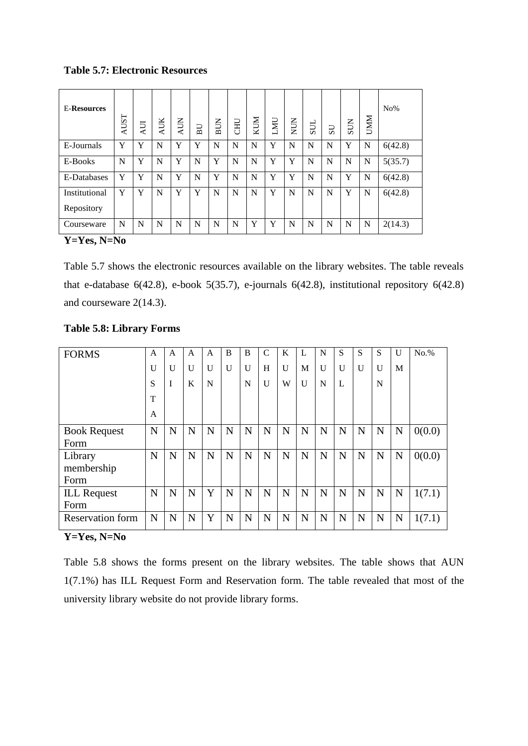**Table 5.7: Electronic Resources**

| <b>E-Resources</b>                                                   | <b>AUST</b> | ĀU | AUK | <b>AUN</b> | BU | <b>BUN</b> | <b>CHU</b> | KUM | LMU | NUN | SUL | US | SUN | <b>UMM</b> | $No\%$  |
|----------------------------------------------------------------------|-------------|----|-----|------------|----|------------|------------|-----|-----|-----|-----|----|-----|------------|---------|
| E-Journals                                                           | Y           | Y  | N   | Y          | Y  | N          | N          | N   | Y   | N   | N   | N  | Y   | N          | 6(42.8) |
| E-Books                                                              | N           | Y  | N   | Y          | N  | Y          | N          | N   | Y   | Y   | N   | N  | N   | N          | 5(35.7) |
| E-Databases                                                          | Y           | Y  | N   | Y          | N  | Y          | N          | N   | Y   | Y   | N   | N  | Y   | N          | 6(42.8) |
| Institutional<br>Repository                                          | Y           | Y  | N   | Y          | Y  | N          | N          | N   | Y   | N   | N   | N  | Y   | N          | 6(42.8) |
| Courseware<br>$\mathbf{v}$ $\mathbf{v}$<br>$\mathbf{v}$ $\mathbf{v}$ | N           | N  | N   | N          | N  | N          | N          | Y   | Y   | N   | N   | N  | N   | N          | 2(14.3) |

**Y=Yes, N=No**

Table 5.7 shows the electronic resources available on the library websites. The table reveals that e-database  $6(42.8)$ , e-book  $5(35.7)$ , e-journals  $6(42.8)$ , institutional repository  $6(42.8)$ and courseware 2(14.3).

| <b>FORMS</b>            | $\mathsf{A}$ | $\mathsf{A}$ | A            | A | B            | B | $\mathcal{C}$ | K            | L | N            | S | S | S            | $\mathbf{U}$ | $No.$ % |
|-------------------------|--------------|--------------|--------------|---|--------------|---|---------------|--------------|---|--------------|---|---|--------------|--------------|---------|
|                         | $\mathbf{U}$ | $\mathbf{U}$ | $\mathbf{U}$ | U | $\mathbf{U}$ | U | H             | $\mathbf{U}$ | M | $\mathbf{U}$ | U | U | $\mathbf{U}$ | M            |         |
|                         | S            | I            | K            | N |              | N | U             | W            | U | N            | L |   | N            |              |         |
|                         | T            |              |              |   |              |   |               |              |   |              |   |   |              |              |         |
|                         | A            |              |              |   |              |   |               |              |   |              |   |   |              |              |         |
| <b>Book Request</b>     | N            | N            | N            | N | N            | N | N             | N            | N | $\mathbf N$  | N | N | $\mathbf N$  | N            | 0(0.0)  |
| Form                    |              |              |              |   |              |   |               |              |   |              |   |   |              |              |         |
| Library                 | N            | N            | N            | N | N            | N | N             | N            | N | N            | N | N | N            | N            | 0(0.0)  |
| membership              |              |              |              |   |              |   |               |              |   |              |   |   |              |              |         |
| Form                    |              |              |              |   |              |   |               |              |   |              |   |   |              |              |         |
| <b>ILL Request</b>      | N            | N            | N            | Y | N            | N | N             | N            | N | $\mathbf N$  | N | N | $\mathbf N$  | N            | 1(7.1)  |
| Form                    |              |              |              |   |              |   |               |              |   |              |   |   |              |              |         |
| <b>Reservation form</b> | N            | N            | N            | Y | N            | N | N             | N            | N | N            | N | N | $\mathbf N$  | N            | 1(7.1)  |

## **Table 5.8: Library Forms**

#### **Y=Yes, N=No**

Table 5.8 shows the forms present on the library websites. The table shows that AUN 1(7.1%) has ILL Request Form and Reservation form. The table revealed that most of the university library website do not provide library forms.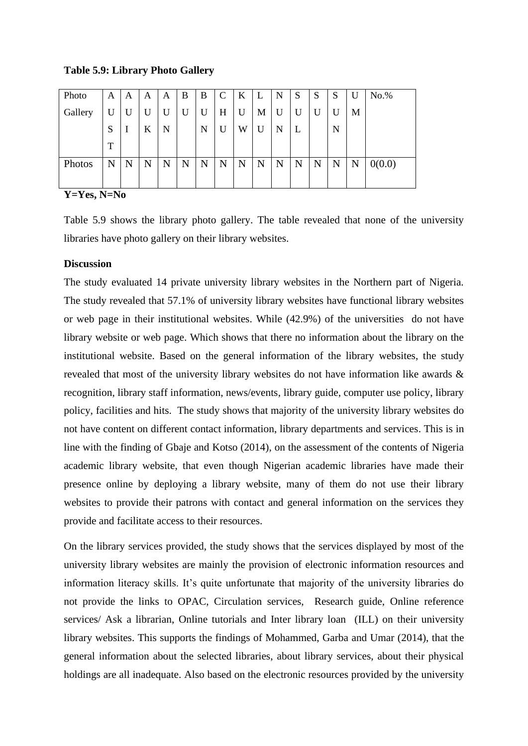**Table 5.9: Library Photo Gallery**

| Photo   | A | A        | A | A | B | B | $\mathsf{C}$ | K | L | N | S | S | $\mathbf{C}$<br>D. | U | $No.$ % |
|---------|---|----------|---|---|---|---|--------------|---|---|---|---|---|--------------------|---|---------|
| Gallery | U | U        | U | U | U | U | H            | U | М | U | U | U | U                  | М |         |
|         | S | $\bf{I}$ | K | N |   | N | U            | W | U | N | L |   | N                  |   |         |
|         | T |          |   |   |   |   |              |   |   |   |   |   |                    |   |         |
| Photos  | N | N        | N | N | N | N | N            | N | N | N | N | N | N                  | N | 0(0.0)  |
|         |   |          |   |   |   |   |              |   |   |   |   |   |                    |   |         |

**Y=Yes, N=No**

Table 5.9 shows the library photo gallery. The table revealed that none of the university libraries have photo gallery on their library websites.

## **Discussion**

The study evaluated 14 private university library websites in the Northern part of Nigeria. The study revealed that 57.1% of university library websites have functional library websites or web page in their institutional websites. While (42.9%) of the universities do not have library website or web page. Which shows that there no information about the library on the institutional website. Based on the general information of the library websites, the study revealed that most of the university library websites do not have information like awards & recognition, library staff information, news/events, library guide, computer use policy, library policy, facilities and hits. The study shows that majority of the university library websites do not have content on different contact information, library departments and services. This is in line with the finding of Gbaje and Kotso (2014), on the assessment of the contents of Nigeria academic library website, that even though Nigerian academic libraries have made their presence online by deploying a library website, many of them do not use their library websites to provide their patrons with contact and general information on the services they provide and facilitate access to their resources.

On the library services provided, the study shows that the services displayed by most of the university library websites are mainly the provision of electronic information resources and information literacy skills. It's quite unfortunate that majority of the university libraries do not provide the links to OPAC, Circulation services, Research guide, Online reference services/ Ask a librarian, Online tutorials and Inter library loan (ILL) on their university library websites. This supports the findings of Mohammed, Garba and Umar (2014), that the general information about the selected libraries, about library services, about their physical holdings are all inadequate. Also based on the electronic resources provided by the university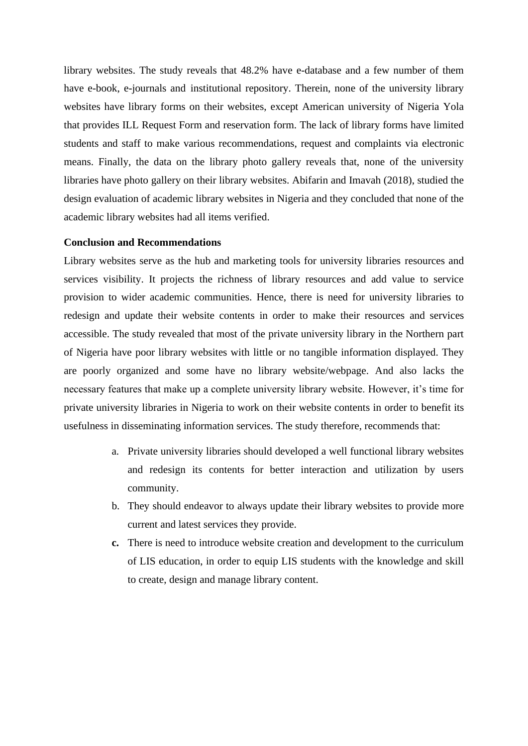library websites. The study reveals that 48.2% have e-database and a few number of them have e-book, e-journals and institutional repository. Therein, none of the university library websites have library forms on their websites, except American university of Nigeria Yola that provides ILL Request Form and reservation form. The lack of library forms have limited students and staff to make various recommendations, request and complaints via electronic means. Finally, the data on the library photo gallery reveals that, none of the university libraries have photo gallery on their library websites. Abifarin and Imavah (2018), studied the design evaluation of academic library websites in Nigeria and they concluded that none of the academic library websites had all items verified.

## **Conclusion and Recommendations**

Library websites serve as the hub and marketing tools for university libraries resources and services visibility. It projects the richness of library resources and add value to service provision to wider academic communities. Hence, there is need for university libraries to redesign and update their website contents in order to make their resources and services accessible. The study revealed that most of the private university library in the Northern part of Nigeria have poor library websites with little or no tangible information displayed. They are poorly organized and some have no library website/webpage. And also lacks the necessary features that make up a complete university library website. However, it's time for private university libraries in Nigeria to work on their website contents in order to benefit its usefulness in disseminating information services. The study therefore, recommends that:

- a. Private university libraries should developed a well functional library websites and redesign its contents for better interaction and utilization by users community.
- b. They should endeavor to always update their library websites to provide more current and latest services they provide.
- **c.** There is need to introduce website creation and development to the curriculum of LIS education, in order to equip LIS students with the knowledge and skill to create, design and manage library content.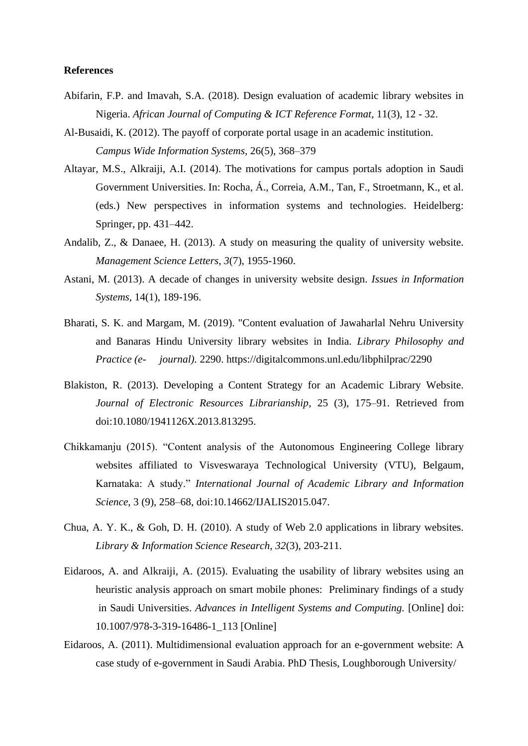## **References**

- Abifarin, F.P. and Imavah, S.A. (2018). Design evaluation of academic library websites in Nigeria. *African Journal of Computing & ICT Reference Format*, 11(3), 12 - 32.
- Al-Busaidi, K. (2012). The payoff of corporate portal usage in an academic institution. *Campus Wide Information Systems*, 26(5), 368–379
- Altayar, M.S., Alkraiji, A.I. (2014). The motivations for campus portals adoption in Saudi Government Universities. In: Rocha, Á., Correia, A.M., Tan, F., Stroetmann, K., et al. (eds.) New perspectives in information systems and technologies. Heidelberg: Springer, pp. 431–442.
- Andalib, Z., & Danaee, H. (2013). A study on measuring the quality of university website. *Management Science Letters*, *3*(7), 1955-1960.
- Astani, M. (2013). A decade of changes in university website design. *Issues in Information Systems,* 14(1), 189-196.
- Bharati, S. K. and Margam, M. (2019). "Content evaluation of Jawaharlal Nehru University and Banaras Hindu University library websites in India. *Library Philosophy and Practice (e- journal).* 2290. https://digitalcommons.unl.edu/libphilprac/2290
- Blakiston, R. (2013). Developing a Content Strategy for an Academic Library Website. *Journal of Electronic Resources Librarianship*, 25 (3), 175–91. Retrieved from doi:10.1080/1941126X.2013.813295.
- Chikkamanju (2015). "Content analysis of the Autonomous Engineering College library websites affiliated to Visveswaraya Technological University (VTU), Belgaum, Karnataka: A study." *International Journal of Academic Library and Information Science*, 3 (9), 258–68, doi:10.14662/IJALIS2015.047.
- Chua, A. Y. K., & Goh, D. H. (2010). A study of Web 2.0 applications in library websites. *Library & Information Science Research*, *32*(3), 203-211.
- Eidaroos, A. and Alkraiji, A. (2015). Evaluating the usability of library websites using an heuristic analysis approach on smart mobile phones: Preliminary findings of a study in Saudi Universities. *Advances in Intelligent Systems and Computing.* [Online] doi: 10.1007/978-3-319-16486-1\_113 [Online]
- Eidaroos, A. (2011). Multidimensional evaluation approach for an e-government website: A case study of e-government in Saudi Arabia. PhD Thesis, Loughborough University/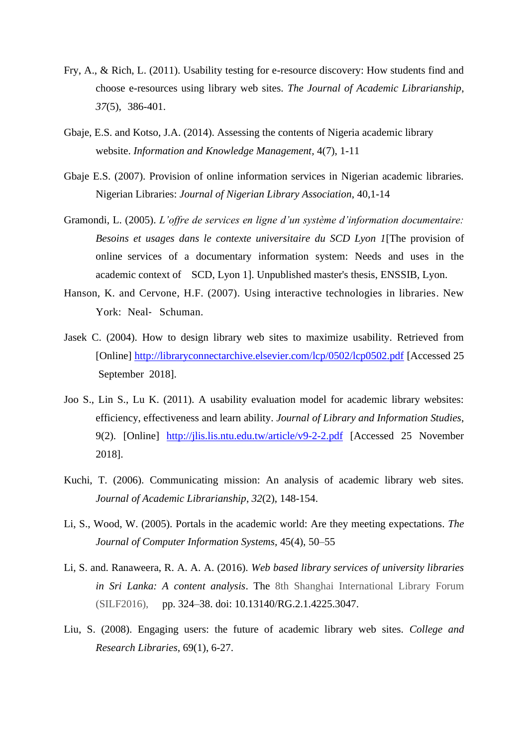- Fry, A., & Rich, L. (2011). Usability testing for e-resource discovery: How students find and choose e-resources using library web sites. *The Journal of Academic Librarianship*, *37*(5), 386-401.
- Gbaje, E.S. and Kotso, J.A. (2014). Assessing the contents of Nigeria academic library website. *Information and Knowledge Management,* 4(7), 1-11
- Gbaje E.S. (2007). Provision of online information services in Nigerian academic libraries. Nigerian Libraries: *Journal of Nigerian Library Association*, 40,1-14
- Gramondi, L. (2005). *L'offre de services en ligne d'un système d'information documentaire: Besoins et usages dans le contexte universitaire du SCD Lyon 1*[The provision of online services of a documentary information system: Needs and uses in the academic context of SCD, Lyon 1]. Unpublished master's thesis, ENSSIB, Lyon.
- Hanson, K. and Cervone, H.F. (2007). Using interactive technologies in libraries. New York: Neal‐ Schuman.
- Jasek C. (2004). How to design library web sites to maximize usability. Retrieved from [Online]<http://libraryconnectarchive.elsevier.com/lcp/0502/lcp0502.pdf> [Accessed 25 September 2018].
- Joo S., Lin S., Lu K. (2011). A usability evaluation model for academic library websites: efficiency, effectiveness and learn ability. *Journal of Library and Information Studies*, 9(2). [Online] <http://jlis.lis.ntu.edu.tw/article/v9-2-2.pdf> [Accessed 25 November 2018].
- Kuchi, T. (2006). Communicating mission: An analysis of academic library web sites. *Journal of Academic Librarianship*, *32*(2), 148-154.
- Li, S., Wood, W. (2005). Portals in the academic world: Are they meeting expectations. *The Journal of Computer Information Systems,* 45(4), 50–55
- Li, S. and. Ranaweera, R. A. A. A. (2016). *Web based library services of university libraries in Sri Lanka: A content analysis*. The 8th Shanghai International Library Forum (SILF2016), pp. 324–38. doi: 10.13140/RG.2.1.4225.3047.
- Liu, S. (2008). Engaging users: the future of academic library web sites. *College and Research Libraries,* 69(1), 6-27.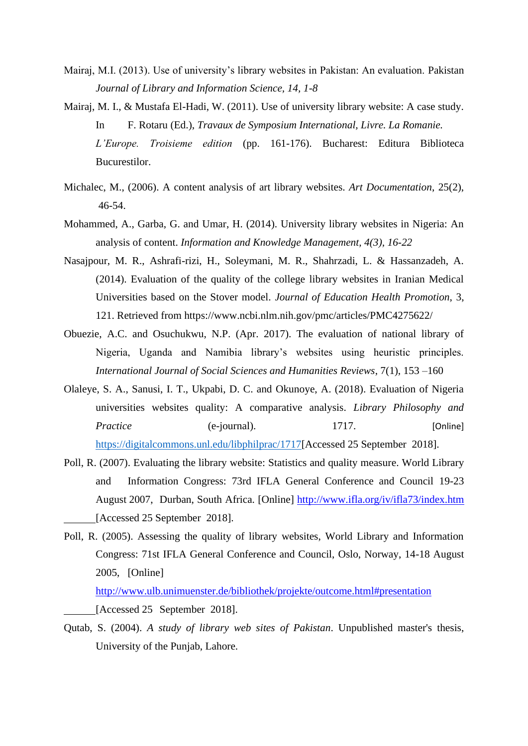- Mairaj, M.I. (2013). Use of university's library websites in Pakistan: An evaluation. Pakistan *Journal of Library and Information Science, 14, 1-8*
- Mairaj, M. I., & Mustafa El-Hadi, W. (2011). Use of university library website: A case study. In F. Rotaru (Ed.), *Travaux de Symposium International, Livre. La Romanie. L'Europe. Troisieme edition* (pp. 161-176). Bucharest: Editura Biblioteca Bucurestilor.
- Michalec, M., (2006). A content analysis of art library websites. *Art Documentation*, 25(2), 46-54.
- Mohammed, A., Garba, G. and Umar, H. (2014). University library websites in Nigeria: An analysis of content. *Information and Knowledge Management, 4(3), 16-22*
- Nasajpour, M. R., Ashrafi-rizi, H., Soleymani, M. R., Shahrzadi, L. & Hassanzadeh, A. (2014). Evaluation of the quality of the college library websites in Iranian Medical Universities based on the Stover model. *Journal of Education Health Promotion*, 3, 121. Retrieved from https://www.ncbi.nlm.nih.gov/pmc/articles/PMC4275622/
- Obuezie, A.C. and Osuchukwu, N.P. (Apr. 2017). The evaluation of national library of Nigeria, Uganda and Namibia library's websites using heuristic principles. *International Journal of Social Sciences and Humanities Reviews*, 7(1), 153 –160
- Olaleye, S. A., Sanusi, I. T., Ukpabi, D. C. and Okunoye, A. (2018). Evaluation of Nigeria universities websites quality: A comparative analysis. *Library Philosophy and Practice* (e-journal). 1717. [Online] [https://digitalcommons.unl.edu/libphilprac/1717\[](https://digitalcommons.unl.edu/libphilprac/1717)Accessed 25 September 2018].
- Poll, R. (2007). Evaluating the library website: Statistics and quality measure. World Library and Information Congress: 73rd IFLA General Conference and Council 19-23 August 2007, Durban, South Africa. [Online]<http://www.ifla.org/iv/ifla73/index.htm> [Accessed 25 September 2018].
- Poll, R. (2005). Assessing the quality of library websites, World Library and Information Congress: 71st IFLA General Conference and Council, Oslo, Norway, 14-18 August 2005, [Online]

<http://www.ulb.unimuenster.de/bibliothek/projekte/outcome.html#presentation> [Accessed 25 September 2018].

Qutab, S. (2004). *A study of library web sites of Pakistan*. Unpublished master's thesis, University of the Punjab, Lahore.